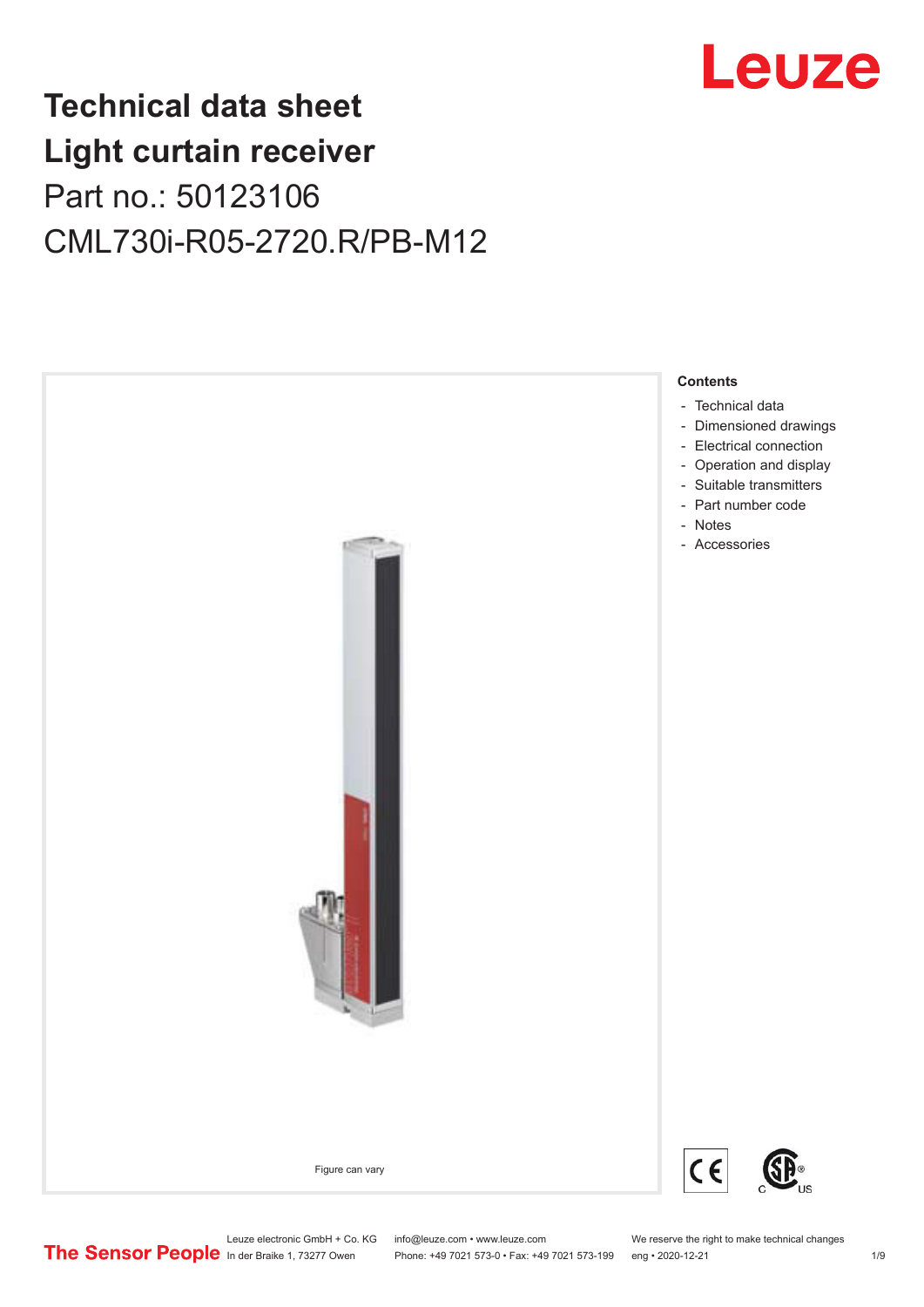

## **Technical data sheet Light curtain receiver** Part no.: 50123106 CML730i-R05-2720.R/PB-M12



Leuze electronic GmbH + Co. KG info@leuze.com • www.leuze.com We reserve the right to make technical changes<br>
The Sensor People in der Braike 1, 73277 Owen Phone: +49 7021 573-0 • Fax: +49 7021 573-199 eng • 2020-12-21

Phone: +49 7021 573-0 • Fax: +49 7021 573-199 eng • 2020-12-21 1 2020-12-21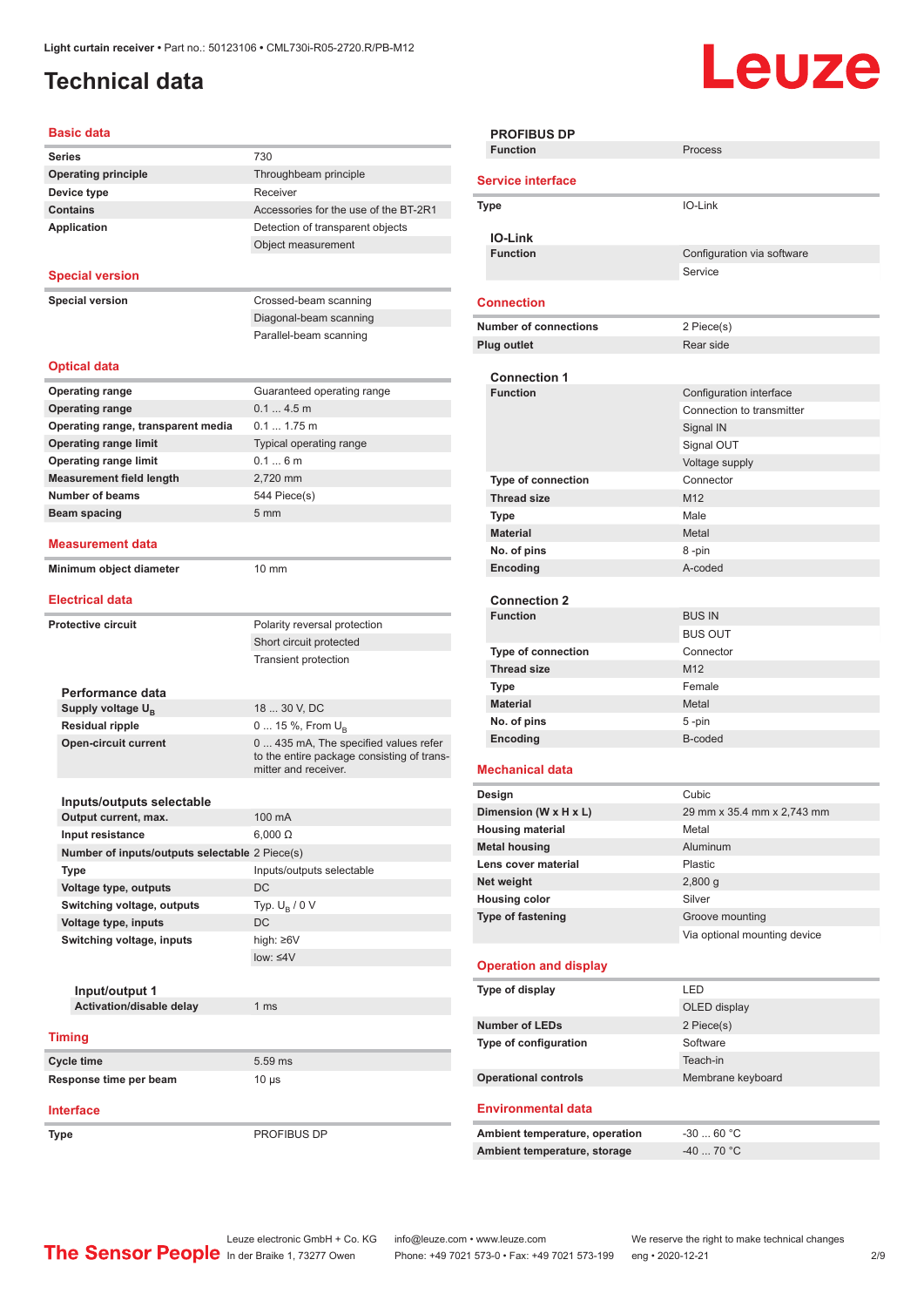## <span id="page-1-0"></span>**Technical data**

# **Leuze**

| <b>Series</b>                                                | 730                                                           |
|--------------------------------------------------------------|---------------------------------------------------------------|
| <b>Operating principle</b>                                   | Throughbeam principle                                         |
| Device type                                                  | Receiver                                                      |
| <b>Contains</b>                                              | Accessories for the use of the BT-2R1                         |
| Application                                                  | Detection of transparent objects                              |
|                                                              | Object measurement                                            |
|                                                              |                                                               |
| <b>Special version</b>                                       |                                                               |
| <b>Special version</b>                                       | Crossed-beam scanning                                         |
|                                                              | Diagonal-beam scanning                                        |
|                                                              | Parallel-beam scanning                                        |
| <b>Optical data</b>                                          |                                                               |
|                                                              |                                                               |
| <b>Operating range</b>                                       | Guaranteed operating range                                    |
| <b>Operating range</b>                                       | $0.14.5$ m                                                    |
| Operating range, transparent media                           | $0.1$ 1.75 m                                                  |
| <b>Operating range limit</b><br><b>Operating range limit</b> | Typical operating range<br>0.16m                              |
| <b>Measurement field length</b>                              | 2,720 mm                                                      |
| <b>Number of beams</b>                                       | 544 Piece(s)                                                  |
| Beam spacing                                                 | 5 <sub>mm</sub>                                               |
|                                                              |                                                               |
| <b>Measurement data</b>                                      |                                                               |
| Minimum object diameter                                      | $10 \text{ mm}$                                               |
|                                                              |                                                               |
| <b>Electrical data</b>                                       |                                                               |
| <b>Protective circuit</b>                                    | Polarity reversal protection                                  |
|                                                              | Short circuit protected                                       |
|                                                              | <b>Transient protection</b>                                   |
|                                                              |                                                               |
|                                                              |                                                               |
| Performance data                                             |                                                               |
| Supply voltage $U_{\rm B}$                                   | 18  30 V, DC                                                  |
| <b>Residual ripple</b>                                       | 0  15 %, From $U_{\rm B}$                                     |
| <b>Open-circuit current</b>                                  | 0  435 mA, The specified values refer<br>mitter and receiver. |
|                                                              |                                                               |
| Inputs/outputs selectable                                    |                                                               |
| Output current, max.                                         | $100 \text{ mA}$                                              |
| Input resistance                                             | $6,000 \Omega$                                                |
| Number of inputs/outputs selectable 2 Piece(s)               |                                                               |
| <b>Type</b>                                                  | Inputs/outputs selectable                                     |
| Voltage type, outputs                                        | DC                                                            |
| Switching voltage, outputs                                   | Typ. $U_R / 0 V$                                              |
| Voltage type, inputs                                         | DC                                                            |
| Switching voltage, inputs                                    | high: ≥6V                                                     |
|                                                              | $low: \leq 4V$                                                |
|                                                              |                                                               |
| Input/output 1                                               |                                                               |
| Activation/disable delay                                     | 1 <sub>ms</sub>                                               |
| <b>Timing</b>                                                |                                                               |
|                                                              |                                                               |
| Cycle time                                                   | 5.59 ms                                                       |
| Response time per beam                                       | to the entire package consisting of trans-<br>$10 \mu s$      |

|                              | <b>PROFIBUS DP</b><br><b>Function</b>  | Process                      |
|------------------------------|----------------------------------------|------------------------------|
|                              |                                        |                              |
|                              | <b>Service interface</b>               |                              |
|                              | <b>Type</b>                            | IO-Link                      |
|                              |                                        |                              |
|                              | <b>IO-Link</b><br><b>Function</b>      | Configuration via software   |
|                              |                                        | Service                      |
|                              |                                        |                              |
|                              | <b>Connection</b>                      |                              |
| <b>Number of connections</b> |                                        | 2 Piece(s)                   |
|                              | Plug outlet                            | Rear side                    |
|                              |                                        |                              |
|                              | <b>Connection 1</b><br><b>Function</b> | Configuration interface      |
|                              |                                        | Connection to transmitter    |
|                              |                                        | Signal IN                    |
|                              |                                        | Signal OUT                   |
|                              |                                        | Voltage supply               |
|                              | Type of connection                     | Connector                    |
|                              | <b>Thread size</b>                     | M12                          |
|                              | <b>Type</b>                            | Male                         |
|                              | <b>Material</b>                        | Metal                        |
|                              | No. of pins                            | 8-pin                        |
|                              | Encoding                               | A-coded                      |
|                              |                                        |                              |
|                              | <b>Connection 2</b>                    |                              |
|                              | <b>Function</b>                        | <b>BUS IN</b>                |
|                              |                                        | <b>BUS OUT</b>               |
|                              | <b>Type of connection</b>              | Connector                    |
|                              | <b>Thread size</b>                     | M <sub>12</sub>              |
|                              | <b>Type</b>                            | Female                       |
|                              | <b>Material</b>                        | Metal                        |
|                              | No. of pins                            | 5-pin                        |
|                              | Encoding                               | B-coded                      |
|                              | <b>Mechanical data</b>                 |                              |
|                              | Design                                 | Cubic                        |
|                              | Dimension (W x H x L)                  | 29 mm x 35.4 mm x 2,743 mm   |
|                              | <b>Housing material</b>                | Metal                        |
|                              | <b>Metal housing</b>                   | Aluminum                     |
|                              | Lens cover material                    | Plastic                      |
|                              | Net weight                             | 2,800 g                      |
|                              | <b>Housing color</b>                   | Silver                       |
|                              | Type of fastening                      | Groove mounting              |
|                              |                                        | Via optional mounting device |
|                              | <b>Operation and display</b>           |                              |
|                              |                                        |                              |
|                              | Type of display                        | LED                          |
|                              |                                        | OLED display                 |
|                              | <b>Number of LEDs</b>                  | 2 Piece(s)                   |
|                              | Type of configuration                  | Software                     |
|                              |                                        | Teach-in                     |
|                              | <b>Operational controls</b>            | Membrane keyboard            |
|                              | <b>Environmental data</b>              |                              |
|                              |                                        |                              |
|                              | Ambient temperature, operation         | $-3060 °C$                   |
|                              | Ambient temperature, storage           | $-4070 °C$                   |

**Type** PROFIBUS DP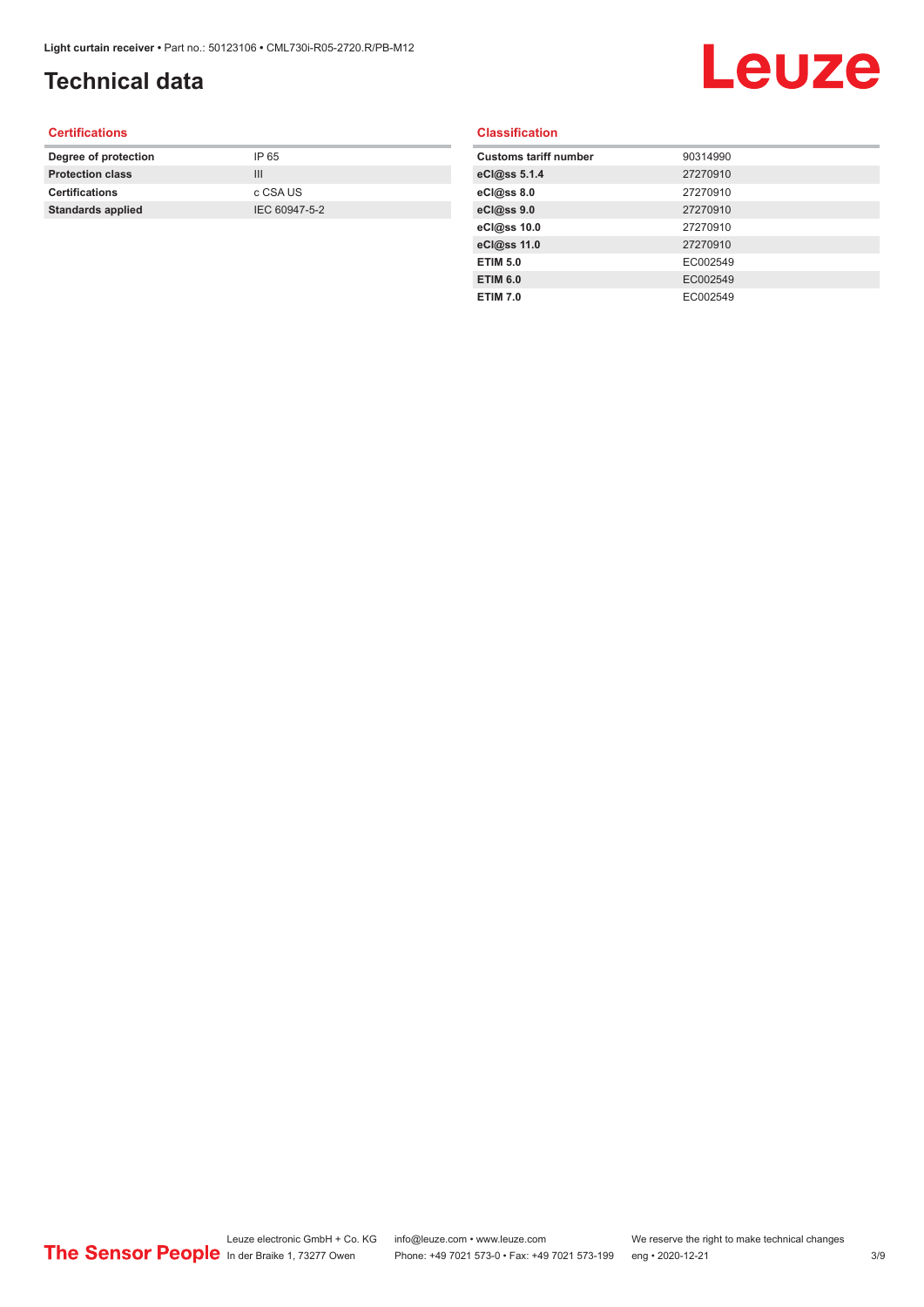## **Technical data**

# Leuze

#### **Certifications**

| Degree of protection     | IP 65         |
|--------------------------|---------------|
| <b>Protection class</b>  | Ш             |
| <b>Certifications</b>    | c CSA US      |
| <b>Standards applied</b> | IEC 60947-5-2 |
|                          |               |

#### **Classification**

| <b>Customs tariff number</b> | 90314990 |
|------------------------------|----------|
| eCl@ss 5.1.4                 | 27270910 |
| eCl@ss 8.0                   | 27270910 |
| eCl@ss 9.0                   | 27270910 |
| eCl@ss 10.0                  | 27270910 |
| eCl@ss 11.0                  | 27270910 |
| <b>ETIM 5.0</b>              | EC002549 |
| <b>ETIM 6.0</b>              | EC002549 |
| <b>ETIM 7.0</b>              | EC002549 |
|                              |          |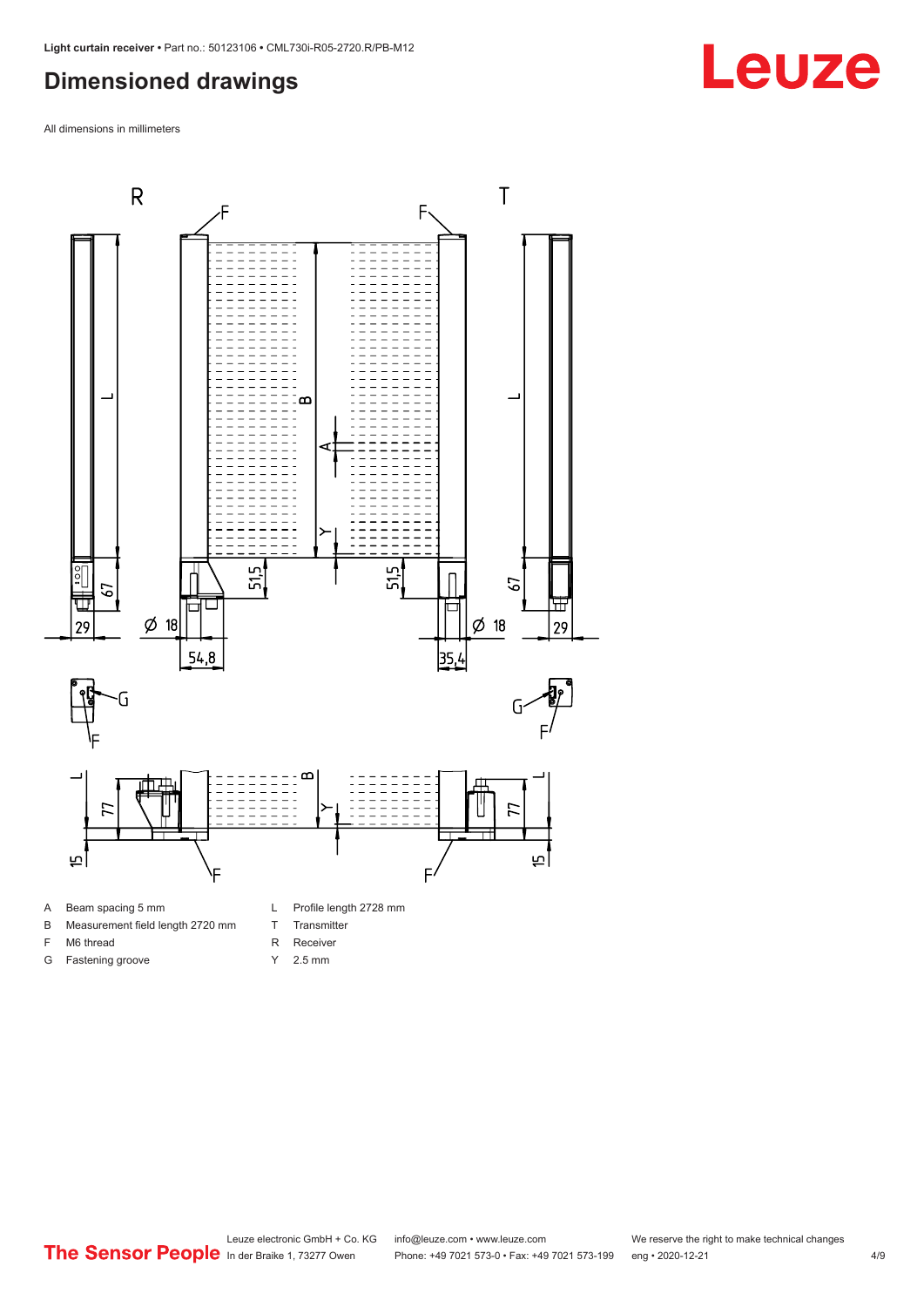#### <span id="page-3-0"></span>**Dimensioned drawings**

All dimensions in millimeters



A Beam spacing 5 mm

G Fastening groove

- B Measurement field length 2720 mm
- F M6 thread
- 
- R Receiver
	- Y 2.5 mm

T Transmitter

Leuze electronic GmbH + Co. KG info@leuze.com • www.leuze.com We reserve the right to make technical changes<br>
The Sensor People in der Braike 1, 73277 Owen Phone: +49 7021 573-0 • Fax: +49 7021 573-199 eng • 2020-12-21 Phone: +49 7021 573-0 • Fax: +49 7021 573-199 eng • 2020-12-21 4/9

## **Leuze**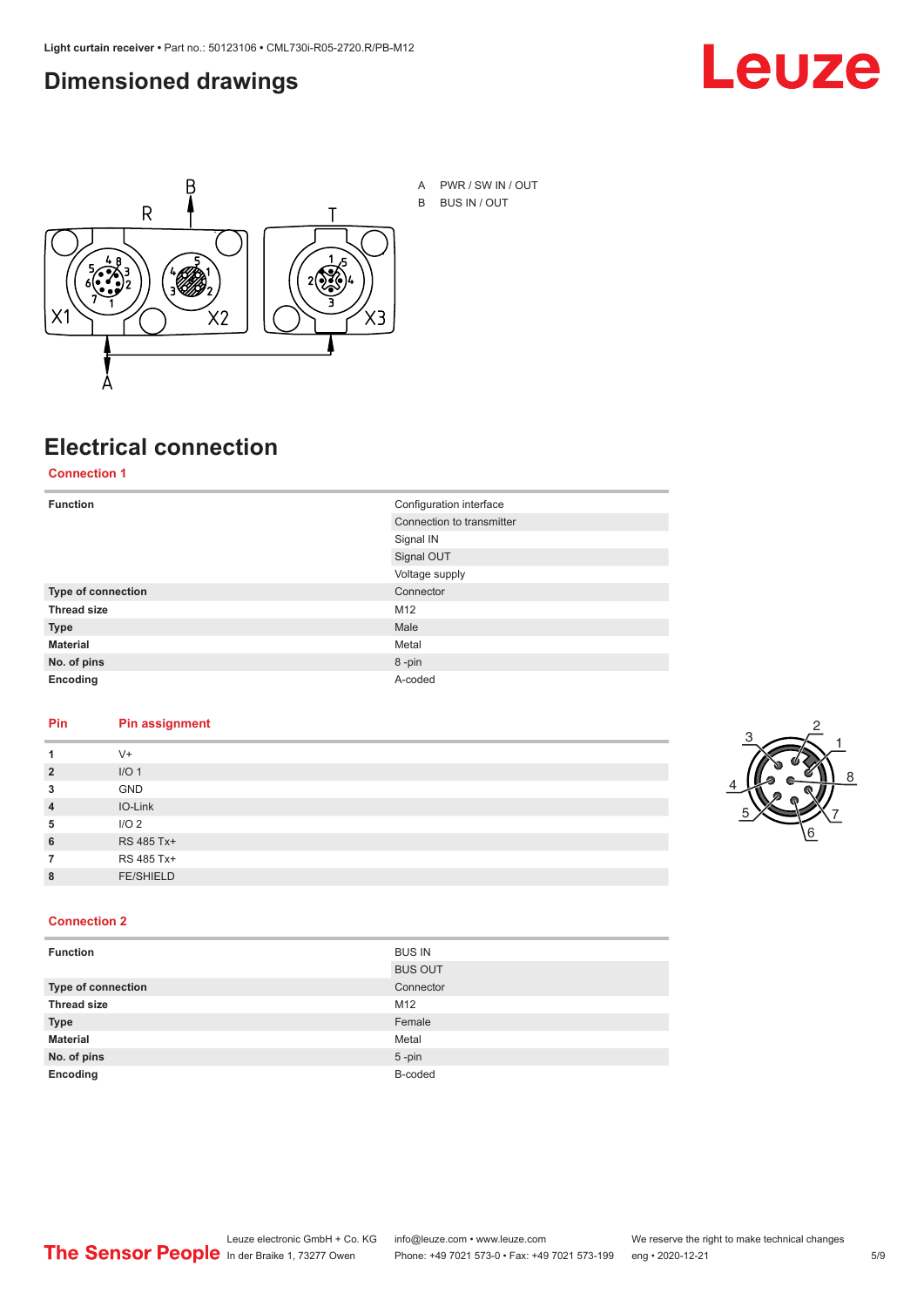#### <span id="page-4-0"></span>**Dimensioned drawings**





### **Electrical connection**

**Connection 1**

| <b>Function</b>    | Configuration interface   |
|--------------------|---------------------------|
|                    | Connection to transmitter |
|                    | Signal IN                 |
|                    | Signal OUT                |
|                    | Voltage supply            |
| Type of connection | Connector                 |
| <b>Thread size</b> | M12                       |
| <b>Type</b>        | Male                      |
| <b>Material</b>    | Metal                     |
| No. of pins        | 8-pin                     |
| Encoding           | A-coded                   |

#### **Pin Pin assignment**

|                | $V +$            |  |  |
|----------------|------------------|--|--|
| $\overline{2}$ | I/O <sub>1</sub> |  |  |
| 3              | <b>GND</b>       |  |  |
| $\overline{4}$ | IO-Link          |  |  |
| 5              | I/O <sub>2</sub> |  |  |
| 6              | RS 485 Tx+       |  |  |
|                | RS 485 Tx+       |  |  |
| 8              | <b>FE/SHIELD</b> |  |  |
|                |                  |  |  |



#### **Connection 2**

| <b>Function</b>    | <b>BUS IN</b>  |
|--------------------|----------------|
|                    | <b>BUS OUT</b> |
| Type of connection | Connector      |
| <b>Thread size</b> | M12            |
| <b>Type</b>        | Female         |
| <b>Material</b>    | Metal          |
| No. of pins        | $5$ -pin       |
| Encoding           | B-coded        |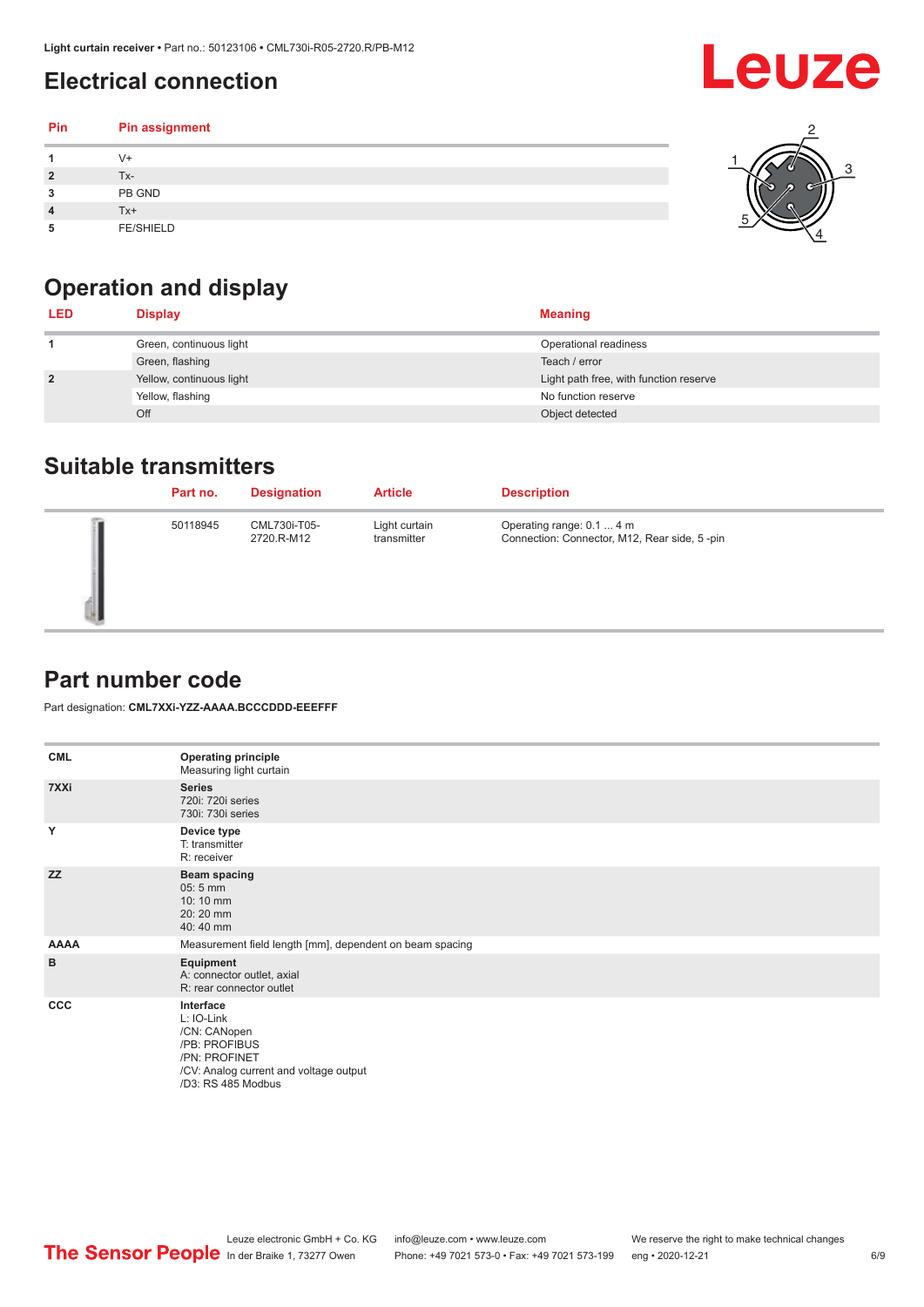## <span id="page-5-0"></span>**Electrical connection**

| Pin | Pin assignment   |  |
|-----|------------------|--|
|     | $V +$            |  |
|     | Tx-              |  |
| 3   | PB GND           |  |
|     | $Tx+$            |  |
| 5   | <b>FE/SHIELD</b> |  |

## **Operation and display**

| <b>LED</b>     | <b>Display</b>           | <b>Meaning</b>                         |
|----------------|--------------------------|----------------------------------------|
|                | Green, continuous light  | Operational readiness                  |
|                | Green, flashing          | Teach / error                          |
| $\overline{2}$ | Yellow, continuous light | Light path free, with function reserve |
|                | Yellow, flashing         | No function reserve                    |
|                | Off                      | Object detected                        |

#### **Suitable transmitters**

| Part no. | <b>Designation</b>         | <b>Article</b>               | <b>Description</b>                                                        |
|----------|----------------------------|------------------------------|---------------------------------------------------------------------------|
| 50118945 | CML730i-T05-<br>2720.R-M12 | Light curtain<br>transmitter | Operating range: 0.1  4 m<br>Connection: Connector, M12, Rear side, 5-pin |

#### **Part number code**

Part designation: **CML7XXi-YZZ-AAAA.BCCCDDD-EEEFFF**

| <b>CML</b>  | <b>Operating principle</b><br>Measuring light curtain                                                                                     |
|-------------|-------------------------------------------------------------------------------------------------------------------------------------------|
| 7XXi        | <b>Series</b><br>720i: 720i series<br>730i: 730i series                                                                                   |
| Y           | Device type<br>T: transmitter<br>R: receiver                                                                                              |
| <b>ZZ</b>   | <b>Beam spacing</b><br>$05:5$ mm<br>10:10 mm<br>20:20 mm<br>40:40 mm                                                                      |
| <b>AAAA</b> | Measurement field length [mm], dependent on beam spacing                                                                                  |
| B           | Equipment<br>A: connector outlet, axial<br>R: rear connector outlet                                                                       |
| CCC         | Interface<br>L: IO-Link<br>/CN: CANopen<br>/PB: PROFIBUS<br>/PN: PROFINET<br>/CV: Analog current and voltage output<br>/D3: RS 485 Modbus |



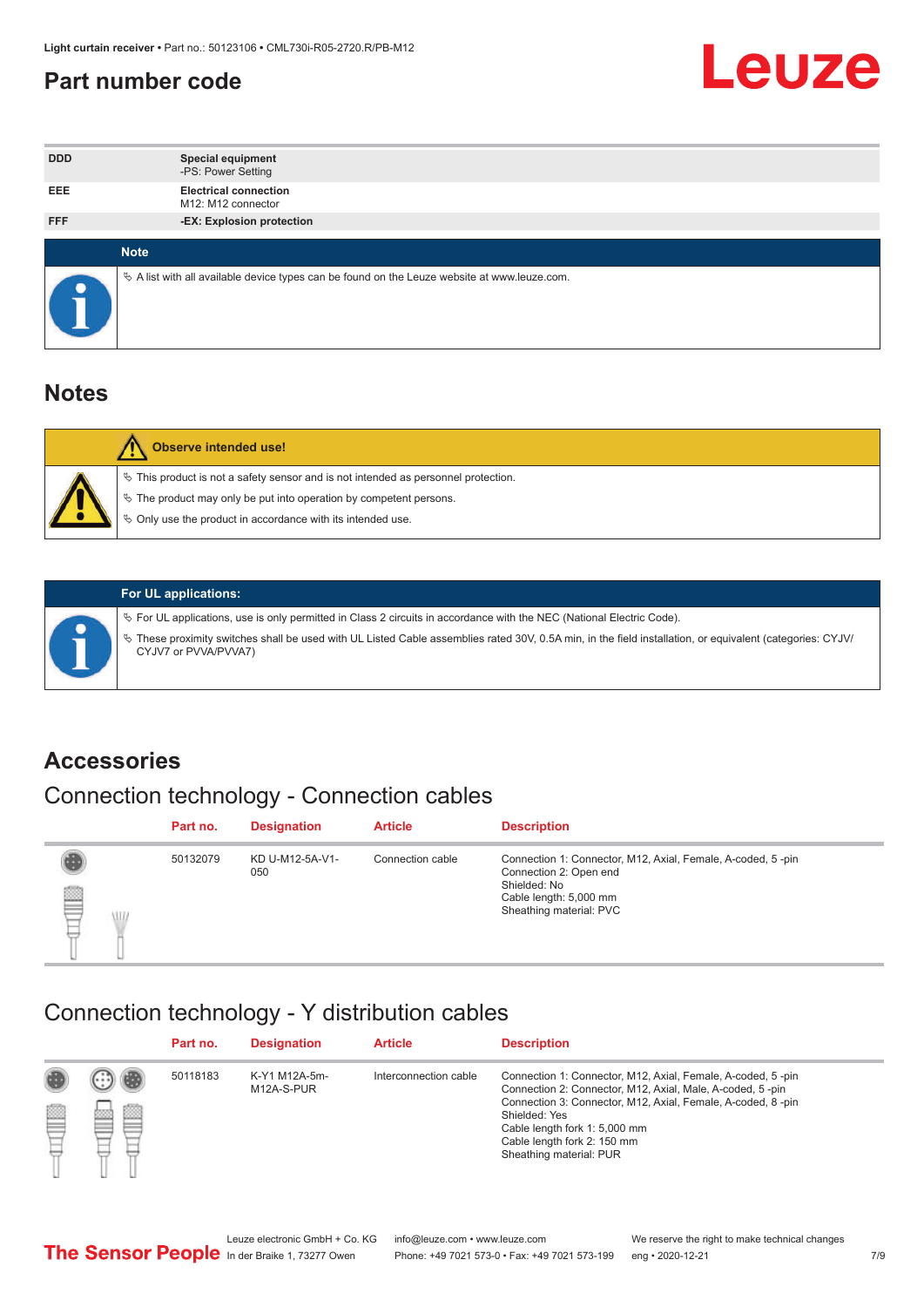#### <span id="page-6-0"></span>**Part number code**



| <b>DDD</b> |             | <b>Special equipment</b><br>-PS: Power Setting                                                  |
|------------|-------------|-------------------------------------------------------------------------------------------------|
| <b>EEE</b> |             | <b>Electrical connection</b><br>M12: M12 connector                                              |
| <b>FFF</b> |             | -EX: Explosion protection                                                                       |
|            | <b>Note</b> |                                                                                                 |
| $\bullet$  |             | $\&$ A list with all available device types can be found on the Leuze website at www.leuze.com. |

#### **Notes**

| <b>Observe intended use!</b>                                                                                                                                                                                                  |
|-------------------------------------------------------------------------------------------------------------------------------------------------------------------------------------------------------------------------------|
| $\%$ This product is not a safety sensor and is not intended as personnel protection.<br>$\%$ The product may only be put into operation by competent persons.<br>♦ Only use the product in accordance with its intended use. |



#### **For UL applications:**

ª For UL applications, use is only permitted in Class 2 circuits in accordance with the NEC (National Electric Code). ª These proximity switches shall be used with UL Listed Cable assemblies rated 30V, 0.5A min, in the field installation, or equivalent (categories: CYJV/ CYJV7 or PVVA/PVVA7)

#### **Accessories**

## Connection technology - Connection cables

|        | Part no. | <b>Designation</b>     | <b>Article</b>   | <b>Description</b>                                                                                                                                         |
|--------|----------|------------------------|------------------|------------------------------------------------------------------------------------------------------------------------------------------------------------|
| 2<br>W | 50132079 | KD U-M12-5A-V1-<br>050 | Connection cable | Connection 1: Connector, M12, Axial, Female, A-coded, 5-pin<br>Connection 2: Open end<br>Shielded: No<br>Cable length: 5,000 mm<br>Sheathing material: PVC |

#### Connection technology - Y distribution cables

|             |   | Part no. | <b>Designation</b>          | <b>Article</b>        | <b>Description</b>                                                                                                                                                                                                                                                                                  |
|-------------|---|----------|-----------------------------|-----------------------|-----------------------------------------------------------------------------------------------------------------------------------------------------------------------------------------------------------------------------------------------------------------------------------------------------|
| 圔<br>⋿<br>٣ | ø | 50118183 | K-Y1 M12A-5m-<br>M12A-S-PUR | Interconnection cable | Connection 1: Connector, M12, Axial, Female, A-coded, 5-pin<br>Connection 2: Connector, M12, Axial, Male, A-coded, 5-pin<br>Connection 3: Connector, M12, Axial, Female, A-coded, 8-pin<br>Shielded: Yes<br>Cable length fork 1: 5,000 mm<br>Cable length fork 2: 150 mm<br>Sheathing material: PUR |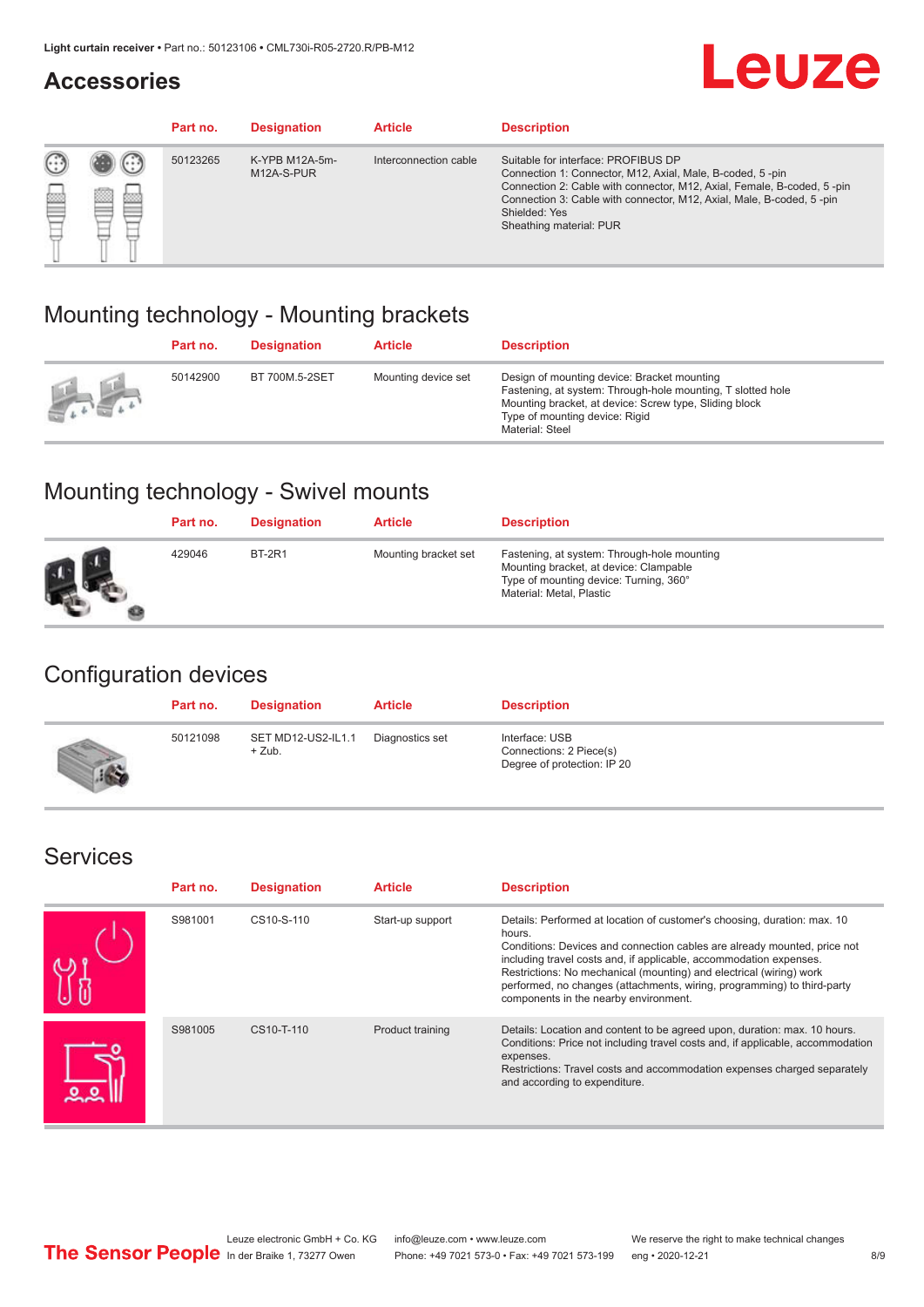#### **Accessories**

## **Leuze**

|   |            | Part no. | <b>Designation</b>           | <b>Article</b>        | <b>Description</b>                                                                                                                                                                                                                                                                             |
|---|------------|----------|------------------------------|-----------------------|------------------------------------------------------------------------------------------------------------------------------------------------------------------------------------------------------------------------------------------------------------------------------------------------|
| œ | 83<br>toni | 50123265 | K-YPB M12A-5m-<br>M12A-S-PUR | Interconnection cable | Suitable for interface: PROFIBUS DP<br>Connection 1: Connector, M12, Axial, Male, B-coded, 5-pin<br>Connection 2: Cable with connector, M12, Axial, Female, B-coded, 5-pin<br>Connection 3: Cable with connector, M12, Axial, Male, B-coded, 5-pin<br>Shielded: Yes<br>Sheathing material: PUR |

#### Mounting technology - Mounting brackets

|               | Part no. | <b>Designation</b> | <b>Article</b>      | <b>Description</b>                                                                                                                                                                                                        |
|---------------|----------|--------------------|---------------------|---------------------------------------------------------------------------------------------------------------------------------------------------------------------------------------------------------------------------|
| $\frac{1}{2}$ | 50142900 | BT 700M.5-2SET     | Mounting device set | Design of mounting device: Bracket mounting<br>Fastening, at system: Through-hole mounting, T slotted hole<br>Mounting bracket, at device: Screw type, Sliding block<br>Type of mounting device: Rigid<br>Material: Steel |

### Mounting technology - Swivel mounts

| Part no. | <b>Designation</b> | <b>Article</b>       | <b>Description</b>                                                                                                                                          |
|----------|--------------------|----------------------|-------------------------------------------------------------------------------------------------------------------------------------------------------------|
| 429046   | <b>BT-2R1</b>      | Mounting bracket set | Fastening, at system: Through-hole mounting<br>Mounting bracket, at device: Clampable<br>Type of mounting device: Turning, 360°<br>Material: Metal, Plastic |

#### Configuration devices

| Part no. | <b>Designation</b>             | <b>Article</b>  | <b>Description</b>                                                       |
|----------|--------------------------------|-----------------|--------------------------------------------------------------------------|
| 50121098 | SET MD12-US2-IL1.1<br>$+$ Zub. | Diagnostics set | Interface: USB<br>Connections: 2 Piece(s)<br>Degree of protection: IP 20 |

#### Services

| Part no. | <b>Designation</b> | <b>Article</b>   | <b>Description</b>                                                                                                                                                                                                                                                                                                                                                                                                              |
|----------|--------------------|------------------|---------------------------------------------------------------------------------------------------------------------------------------------------------------------------------------------------------------------------------------------------------------------------------------------------------------------------------------------------------------------------------------------------------------------------------|
| S981001  | CS10-S-110         | Start-up support | Details: Performed at location of customer's choosing, duration: max. 10<br>hours.<br>Conditions: Devices and connection cables are already mounted, price not<br>including travel costs and, if applicable, accommodation expenses.<br>Restrictions: No mechanical (mounting) and electrical (wiring) work<br>performed, no changes (attachments, wiring, programming) to third-party<br>components in the nearby environment. |
| S981005  | CS10-T-110         | Product training | Details: Location and content to be agreed upon, duration: max. 10 hours.<br>Conditions: Price not including travel costs and, if applicable, accommodation<br>expenses.<br>Restrictions: Travel costs and accommodation expenses charged separately<br>and according to expenditure.                                                                                                                                           |